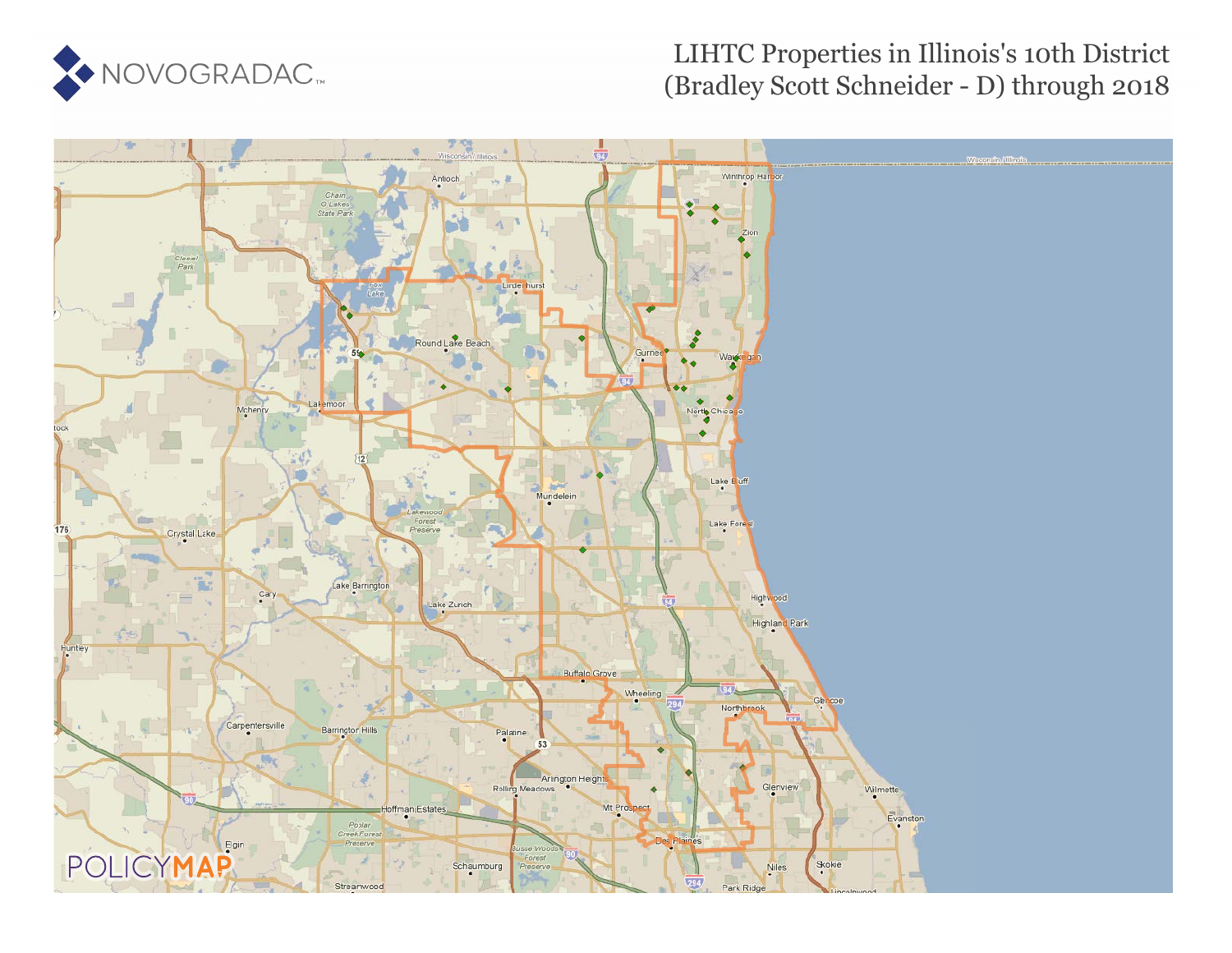

### LIHTC Properties in Illinois's 10th District (Bradley Scott Schneider - D) through 2018

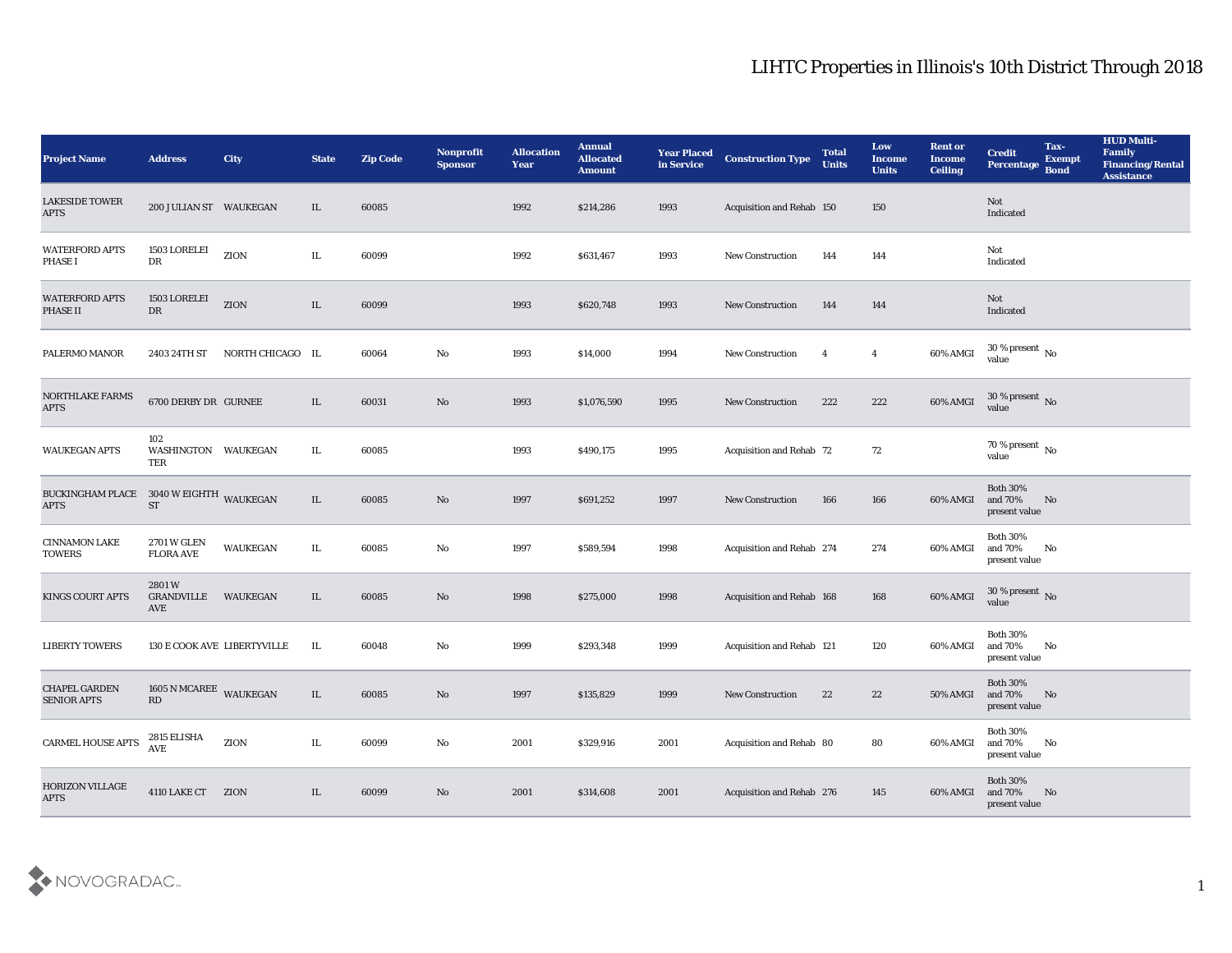| <b>Project Name</b>                                    | <b>Address</b>                    | City             | <b>State</b> | <b>Zip Code</b> | Nonprofit<br><b>Sponsor</b> | <b>Allocation</b><br><b>Year</b> | <b>Annual</b><br><b>Allocated</b><br><b>Amount</b> | <b>Year Placed</b><br>in Service | <b>Construction Type</b>         | <b>Total</b><br><b>Units</b> | Low<br><b>Income</b><br><b>Units</b> | <b>Rent or</b><br><b>Income</b><br><b>Ceiling</b> | <b>Credit</b><br>Percentage Bond               | Tax-<br><b>Exempt</b> | <b>HUD Multi-</b><br>Family<br><b>Financing/Rental</b><br><b>Assistance</b> |
|--------------------------------------------------------|-----------------------------------|------------------|--------------|-----------------|-----------------------------|----------------------------------|----------------------------------------------------|----------------------------------|----------------------------------|------------------------------|--------------------------------------|---------------------------------------------------|------------------------------------------------|-----------------------|-----------------------------------------------------------------------------|
| <b>LAKESIDE TOWER</b><br><b>APTS</b>                   | 200 JULIAN ST WAUKEGAN            |                  | IL           | 60085           |                             | 1992                             | \$214,286                                          | 1993                             | <b>Acquisition and Rehab 150</b> |                              | 150                                  |                                                   | Not<br>Indicated                               |                       |                                                                             |
| <b>WATERFORD APTS</b><br><b>PHASE I</b>                | 1503 LORELEI<br>DR                | ZION             | IL.          | 60099           |                             | 1992                             | \$631,467                                          | 1993                             | <b>New Construction</b>          | 144                          | 144                                  |                                                   | Not<br>Indicated                               |                       |                                                                             |
| <b>WATERFORD APTS</b><br>PHASE II                      | 1503 LORELEI<br>${\rm DR}$        | ZION             | IL           | 60099           |                             | 1993                             | \$620,748                                          | 1993                             | <b>New Construction</b>          | 144                          | 144                                  |                                                   | Not<br>Indicated                               |                       |                                                                             |
| PALERMO MANOR                                          | 2403 24TH ST                      | NORTH CHICAGO IL |              | 60064           | No                          | 1993                             | \$14,000                                           | 1994                             | <b>New Construction</b>          | $\overline{4}$               | $\overline{4}$                       | 60% AMGI                                          | $30\,\%$ present $\,$ No value                 |                       |                                                                             |
| NORTHLAKE FARMS<br><b>APTS</b>                         | 6700 DERBY DR GURNEE              |                  | IL           | 60031           | No                          | 1993                             | \$1,076,590                                        | 1995                             | <b>New Construction</b>          | 222                          | 222                                  | 60% AMGI                                          | $30\,\%$ present $\,$ No $\,$<br>value         |                       |                                                                             |
| <b>WAUKEGAN APTS</b>                                   | 102<br>WASHINGTON WAUKEGAN<br>TER |                  | IL           | 60085           |                             | 1993                             | \$490,175                                          | 1995                             | Acquisition and Rehab 72         |                              | 72                                   |                                                   | 70 % present $\,$ No $\,$<br>value             |                       |                                                                             |
| BUCKINGHAM PLACE 3040 W EIGHTH WAUKEGAN<br><b>APTS</b> | <b>ST</b>                         |                  | $\rm IL$     | 60085           | No                          | 1997                             | \$691,252                                          | 1997                             | <b>New Construction</b>          | 166                          | 166                                  | 60% AMGI                                          | <b>Both 30%</b><br>and 70%<br>present value    | No                    |                                                                             |
| <b>CINNAMON LAKE</b><br><b>TOWERS</b>                  | 2701 W GLEN<br><b>FLORA AVE</b>   | <b>WAUKEGAN</b>  | IL           | 60085           | No                          | 1997                             | \$589,594                                          | 1998                             | Acquisition and Rehab 274        |                              | 274                                  | 60% AMGI                                          | <b>Both 30%</b><br>and 70%<br>present value    | No                    |                                                                             |
| <b>KINGS COURT APTS</b>                                | 2801W<br>GRANDVILLE<br>AVE        | <b>WAUKEGAN</b>  | IL           | 60085           | No                          | 1998                             | \$275,000                                          | 1998                             | Acquisition and Rehab 168        |                              | 168                                  | 60% AMGI                                          | $30\,\%$ present $\,$ No value                 |                       |                                                                             |
| <b>LIBERTY TOWERS</b>                                  | 130 E COOK AVE LIBERTYVILLE       |                  | IL           | 60048           | No                          | 1999                             | \$293,348                                          | 1999                             | Acquisition and Rehab 121        |                              | 120                                  | 60% AMGI                                          | <b>Both 30%</b><br>and 70%<br>present value    | No                    |                                                                             |
| <b>CHAPEL GARDEN</b><br><b>SENIOR APTS</b>             | 1605 N MCAREE WAUKEGAN<br>RD      |                  | IL           | 60085           | No                          | 1997                             | \$135,829                                          | 1999                             | <b>New Construction</b>          | 22                           | 22                                   | 50% AMGI and 70%                                  | <b>Both 30%</b><br>present value               | No                    |                                                                             |
| CARMEL HOUSE APTS                                      | 2815 ELISHA<br>AVE                | ZION             | $\rm IL$     | 60099           | $\rm\thinspace No$          | 2001                             | \$329,916                                          | 2001                             | Acquisition and Rehab 80         |                              | 80                                   | 60% AMGI                                          | <b>Both 30%</b><br>and $70\%$<br>present value | No                    |                                                                             |
| HORIZON VILLAGE<br><b>APTS</b>                         | 4110 LAKE CT ZION                 |                  | $\rm IL$     | 60099           | $\rm\thinspace No$          | 2001                             | \$314,608                                          | 2001                             | Acquisition and Rehab 276        |                              | 145                                  | 60% AMGI                                          | Both $30\%$<br>and 70%<br>present value        | No                    |                                                                             |

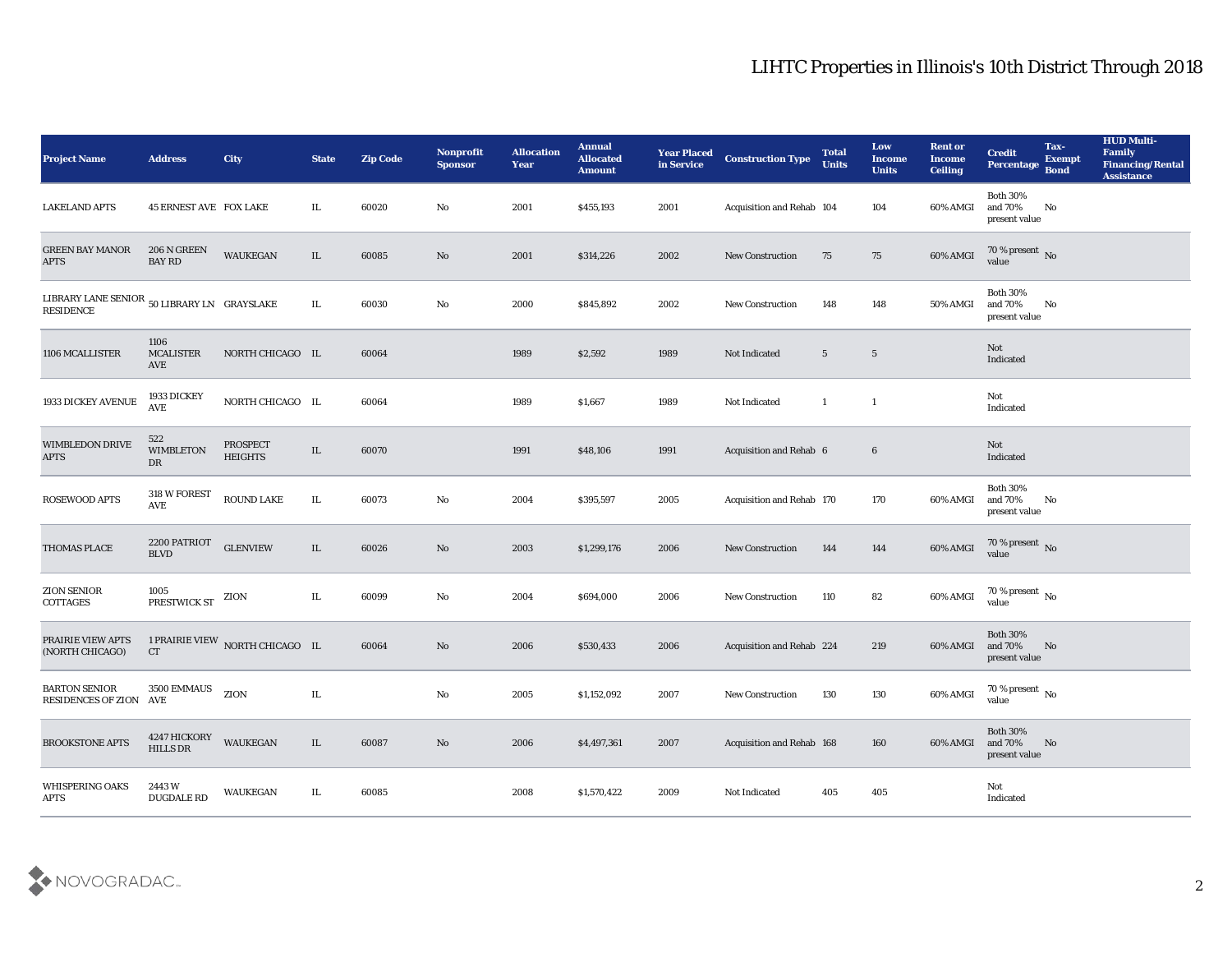| <b>Project Name</b>                                                                                                                                                                   | <b>Address</b>                  | City                            | <b>State</b> | <b>Zip Code</b> | <b>Nonprofit</b><br><b>Sponsor</b> | <b>Allocation</b><br><b>Year</b> | <b>Annual</b><br><b>Allocated</b><br><b>Amount</b> | <b>Year Placed</b><br>in Service | <b>Construction Type</b>  | <b>Total</b><br><b>Units</b> | Low<br><b>Income</b><br><b>Units</b> | <b>Rent or</b><br><b>Income</b><br><b>Ceiling</b> | <b>Credit</b><br>Percentage                 | Tax-<br><b>Exempt</b><br><b>Bond</b> | <b>HUD Multi-</b><br>Family<br><b>Financing/Rental</b><br><b>Assistance</b> |
|---------------------------------------------------------------------------------------------------------------------------------------------------------------------------------------|---------------------------------|---------------------------------|--------------|-----------------|------------------------------------|----------------------------------|----------------------------------------------------|----------------------------------|---------------------------|------------------------------|--------------------------------------|---------------------------------------------------|---------------------------------------------|--------------------------------------|-----------------------------------------------------------------------------|
| <b>LAKELAND APTS</b>                                                                                                                                                                  | <b>45 ERNEST AVE FOX LAKE</b>   |                                 | IL           | 60020           | No                                 | 2001                             | \$455,193                                          | 2001                             | Acquisition and Rehab 104 |                              | 104                                  | 60% AMGI                                          | <b>Both 30%</b><br>and 70%<br>present value | No                                   |                                                                             |
| <b>GREEN BAY MANOR</b><br><b>APTS</b>                                                                                                                                                 | 206 N GREEN<br><b>BAY RD</b>    | <b>WAUKEGAN</b>                 | IL           | 60085           | No                                 | 2001                             | \$314,226                                          | 2002                             | <b>New Construction</b>   | 75                           | 75                                   | 60% AMGI                                          | $70\,\%$ present $\,$ No value              |                                      |                                                                             |
| $\begin{minipage}{0.9\linewidth} \textbf{LIBRARY} & \textbf{LANE} \textbf{SENIOR} & \textbf{50} \textbf{LIBRARY} \textbf{LN} & \textbf{GRAYSLAKE} \end{minipage}$<br><b>RESIDENCE</b> |                                 |                                 | IL           | 60030           | $\mathbf {No}$                     | 2000                             | \$845,892                                          | 2002                             | <b>New Construction</b>   | 148                          | 148                                  | 50% AMGI                                          | <b>Both 30%</b><br>and 70%<br>present value | No                                   |                                                                             |
| 1106 MCALLISTER                                                                                                                                                                       | 1106<br><b>MCALISTER</b><br>AVE | NORTH CHICAGO IL                |              | 60064           |                                    | 1989                             | \$2,592                                            | 1989                             | Not Indicated             | $5\phantom{.0}$              | $\overline{5}$                       |                                                   | Not<br>Indicated                            |                                      |                                                                             |
| 1933 DICKEY AVENUE                                                                                                                                                                    | 1933 DICKEY<br><b>AVE</b>       | NORTH CHICAGO IL                |              | 60064           |                                    | 1989                             | \$1,667                                            | 1989                             | Not Indicated             | $\mathbf{1}$                 | $\mathbf{1}$                         |                                                   | Not<br>Indicated                            |                                      |                                                                             |
| WIMBLEDON DRIVE<br><b>APTS</b>                                                                                                                                                        | 522<br><b>WIMBLETON</b><br>DR   | PROSPECT<br><b>HEIGHTS</b>      | IL           | 60070           |                                    | 1991                             | \$48,106                                           | 1991                             | Acquisition and Rehab 6   |                              | $6\phantom{.}6$                      |                                                   | Not<br>Indicated                            |                                      |                                                                             |
| <b>ROSEWOOD APTS</b>                                                                                                                                                                  | 318 W FOREST<br>AVE             | ROUND LAKE                      | IL           | 60073           | No                                 | 2004                             | \$395,597                                          | 2005                             | Acquisition and Rehab 170 |                              | 170                                  | 60% AMGI                                          | <b>Both 30%</b><br>and 70%<br>present value | No                                   |                                                                             |
| <b>THOMAS PLACE</b>                                                                                                                                                                   | 2200 PATRIOT<br><b>BLVD</b>     | <b>GLENVIEW</b>                 | IL           | 60026           | No                                 | 2003                             | \$1,299,176                                        | 2006                             | <b>New Construction</b>   | 144                          | 144                                  | 60% AMGI                                          | $70\%$ present No<br>value                  |                                      |                                                                             |
| <b>ZION SENIOR</b><br>COTTAGES                                                                                                                                                        | 1005<br>PRESTWICK ST            | ZION                            | IL           | 60099           | No                                 | 2004                             | \$694,000                                          | 2006                             | <b>New Construction</b>   | 110                          | 82                                   | 60% AMGI                                          | $70\,\%$ present $\,$ No value              |                                      |                                                                             |
| PRAIRIE VIEW APTS<br>(NORTH CHICAGO)                                                                                                                                                  | CT                              | 1 PRAIRIE VIEW NORTH CHICAGO IL |              | 60064           | No                                 | 2006                             | \$530,433                                          | 2006                             | Acquisition and Rehab 224 |                              | 219                                  | 60% AMGI                                          | <b>Both 30%</b><br>and 70%<br>present value | No                                   |                                                                             |
| <b>BARTON SENIOR</b><br>RESIDENCES OF ZION AVE                                                                                                                                        | 3500 EMMAUS                     | ZION                            | IL           |                 | No                                 | 2005                             | \$1,152,092                                        | 2007                             | <b>New Construction</b>   | 130                          | 130                                  | 60% AMGI                                          | 70 % present $\,$ No $\,$<br>value          |                                      |                                                                             |
| <b>BROOKSTONE APTS</b>                                                                                                                                                                | 4247 HICKORY<br>HILLS DR        | <b>WAUKEGAN</b>                 | $\rm IL$     | 60087           | $\rm\, No$                         | 2006                             | \$4,497,361                                        | 2007                             | Acquisition and Rehab 168 |                              | 160                                  | 60% AMGI                                          | Both $30\%$<br>and $70\%$<br>present value  | No                                   |                                                                             |
| <b>WHISPERING OAKS</b><br><b>APTS</b>                                                                                                                                                 | 2443W<br><b>DUGDALE RD</b>      | WAUKEGAN                        | IL           | 60085           |                                    | 2008                             | \$1,570,422                                        | 2009                             | Not Indicated             | 405                          | 405                                  |                                                   | $\operatorname{\bf Not}$<br>Indicated       |                                      |                                                                             |

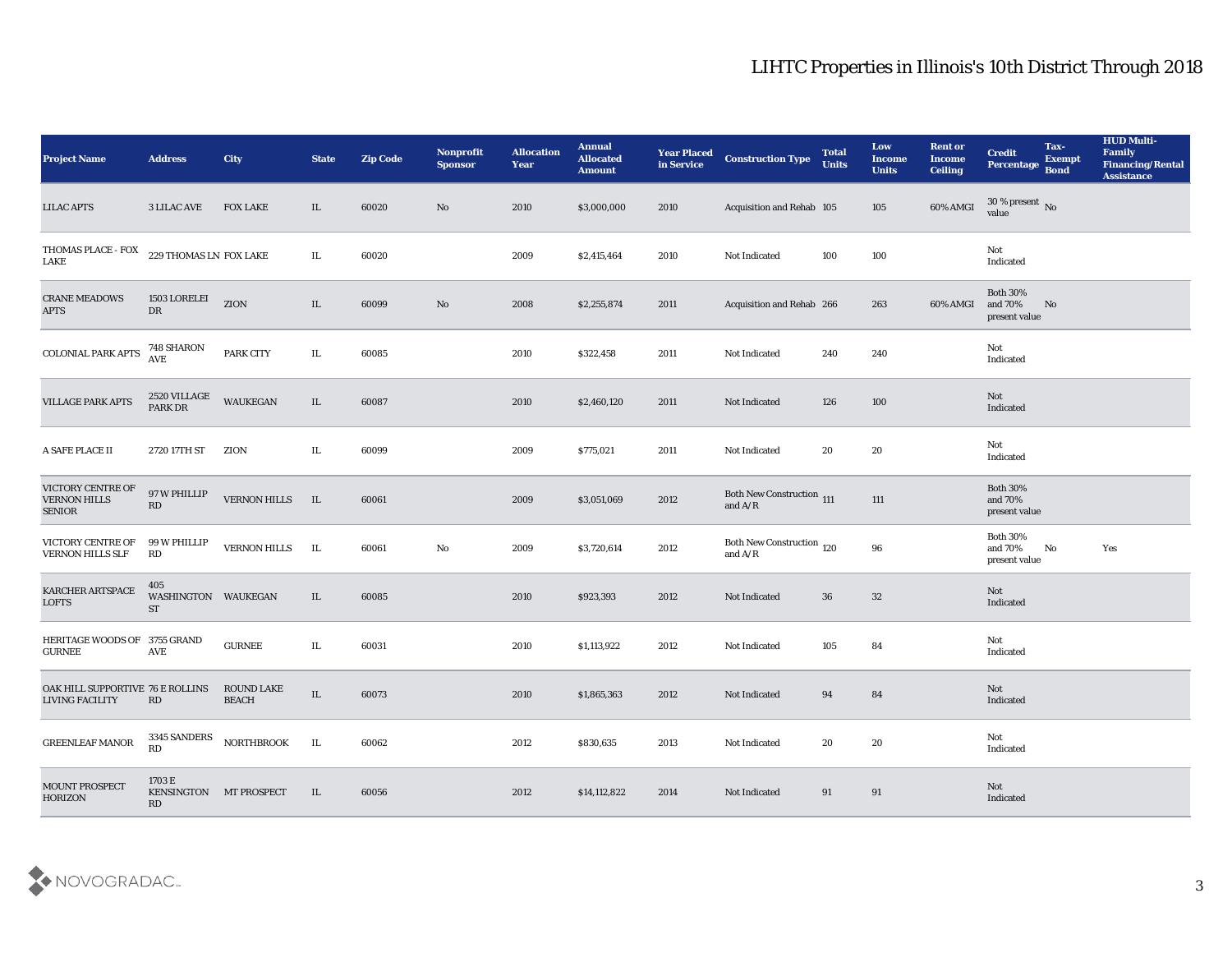| <b>Project Name</b>                                        | <b>Address</b>                         | City                              | <b>State</b> | <b>Zip Code</b> | Nonprofit<br><b>Sponsor</b> | <b>Allocation</b><br><b>Year</b> | <b>Annual</b><br><b>Allocated</b><br><b>Amount</b> | <b>Year Placed</b><br>in Service | <b>Construction Type</b>                                                           | <b>Total</b><br><b>Units</b> | Low<br><b>Income</b><br><b>Units</b> | <b>Rent or</b><br><b>Income</b><br><b>Ceiling</b> | <b>Credit</b><br>Percentage Bond               | Tax-<br><b>Exempt</b> | <b>HUD Multi-</b><br>Family<br><b>Financing/Rental</b><br><b>Assistance</b> |
|------------------------------------------------------------|----------------------------------------|-----------------------------------|--------------|-----------------|-----------------------------|----------------------------------|----------------------------------------------------|----------------------------------|------------------------------------------------------------------------------------|------------------------------|--------------------------------------|---------------------------------------------------|------------------------------------------------|-----------------------|-----------------------------------------------------------------------------|
| <b>LILAC APTS</b>                                          | <b>3 LILAC AVE</b>                     | <b>FOX LAKE</b>                   | IL           | 60020           | No                          | 2010                             | \$3,000,000                                        | 2010                             | Acquisition and Rehab 105                                                          |                              | 105                                  | 60% AMGI                                          | $30\%$ present No<br>value                     |                       |                                                                             |
| THOMAS PLACE - FOX<br>LAKE                                 | 229 THOMAS LN FOX LAKE                 |                                   | IL           | 60020           |                             | 2009                             | \$2,415,464                                        | 2010                             | Not Indicated                                                                      | 100                          | 100                                  |                                                   | Not<br>Indicated                               |                       |                                                                             |
| <b>CRANE MEADOWS</b><br><b>APTS</b>                        | 1503 LORELEI<br>DR                     | ZION                              | IL           | 60099           | $\rm\thinspace No$          | 2008                             | \$2,255,874                                        | 2011                             | Acquisition and Rehab 266                                                          |                              | 263                                  | 60% AMGI                                          | <b>Both 30%</b><br>and 70%<br>present value    | No                    |                                                                             |
| COLONIAL PARK APTS                                         | 748 SHARON<br>AVE                      | PARK CITY                         | IL           | 60085           |                             | 2010                             | \$322,458                                          | 2011                             | Not Indicated                                                                      | 240                          | 240                                  |                                                   | Not<br>Indicated                               |                       |                                                                             |
| <b>VILLAGE PARK APTS</b>                                   | 2520 VILLAGE<br>PARK DR                | WAUKEGAN                          | IL           | 60087           |                             | 2010                             | \$2,460,120                                        | 2011                             | Not Indicated                                                                      | 126                          | 100                                  |                                                   | Not<br>Indicated                               |                       |                                                                             |
| A SAFE PLACE II                                            | 2720 17TH ST                           | ZION                              | IL           | 60099           |                             | 2009                             | \$775,021                                          | 2011                             | Not Indicated                                                                      | 20                           | 20                                   |                                                   | Not<br>Indicated                               |                       |                                                                             |
| VICTORY CENTRE OF<br><b>VERNON HILLS</b><br><b>SENIOR</b>  | 97 W PHILLIP<br>RD                     | <b>VERNON HILLS</b>               | IL           | 60061           |                             | 2009                             | \$3,051,069                                        | 2012                             | Both New Construction 111<br>and $\ensuremath{\mathrm{A}}/\ensuremath{\mathrm{R}}$ |                              | 111                                  |                                                   | <b>Both 30%</b><br>and 70%<br>present value    |                       |                                                                             |
| VICTORY CENTRE OF<br><b>VERNON HILLS SLF</b>               | 99 W PHILLIP<br>RD                     | <b>VERNON HILLS</b>               | IL           | 60061           | $\rm\thinspace No$          | 2009                             | \$3,720,614                                        | 2012                             | Both New Construction 120<br>and $A/R$                                             |                              | 96                                   |                                                   | <b>Both 30%</b><br>and $70\%$<br>present value | No                    | Yes                                                                         |
| KARCHER ARTSPACE<br><b>LOFTS</b>                           | 405<br>WASHINGTON WAUKEGAN<br>ST       |                                   | IL           | 60085           |                             | 2010                             | \$923,393                                          | 2012                             | Not Indicated                                                                      | 36                           | 32                                   |                                                   | Not<br>Indicated                               |                       |                                                                             |
| <b>HERITAGE WOODS OF</b><br><b>GURNEE</b>                  | 3755 GRAND<br>AVE                      | <b>GURNEE</b>                     | IL           | 60031           |                             | 2010                             | \$1,113,922                                        | 2012                             | Not Indicated                                                                      | 105                          | 84                                   |                                                   | Not<br>Indicated                               |                       |                                                                             |
| OAK HILL SUPPORTIVE 76 E ROLLINS<br><b>LIVING FACILITY</b> | RD                                     | <b>ROUND LAKE</b><br><b>BEACH</b> | IL           | 60073           |                             | 2010                             | \$1,865,363                                        | 2012                             | Not Indicated                                                                      | 94                           | 84                                   |                                                   | Not<br>Indicated                               |                       |                                                                             |
| <b>GREENLEAF MANOR</b>                                     | 3345 SANDERS<br>RD                     | <b>NORTHBROOK</b>                 | IL           | 60062           |                             | 2012                             | \$830,635                                          | 2013                             | Not Indicated                                                                      | 20                           | ${\bf 20}$                           |                                                   | Not<br>Indicated                               |                       |                                                                             |
| <b>MOUNT PROSPECT</b><br>HORIZON                           | 1703 E<br>KENSINGTON MT PROSPECT<br>RD |                                   | IL           | 60056           |                             | 2012                             | \$14,112,822                                       | 2014                             | Not Indicated                                                                      | 91                           | 91                                   |                                                   | Not<br>Indicated                               |                       |                                                                             |